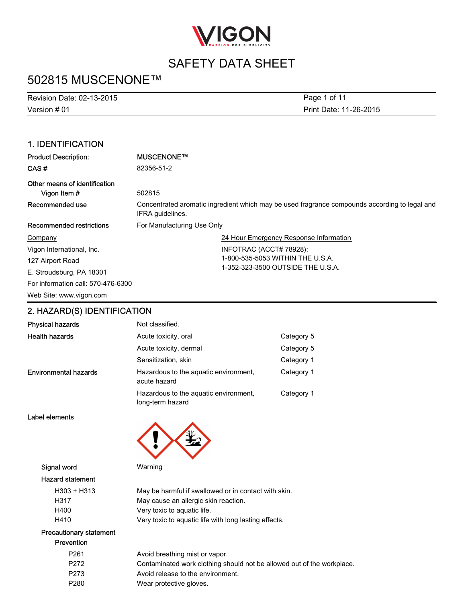

## 502815 MUSCENONE™

| <b>Revision Date: 02-13-2015</b> | Page 1 of 11           |
|----------------------------------|------------------------|
| Version # 01                     | Print Date: 11-26-2015 |

### 1. IDENTIFICATION

| <b>Product Description:</b>                   | MUSCENONE™                                                                                                        |  |
|-----------------------------------------------|-------------------------------------------------------------------------------------------------------------------|--|
| CAS#                                          | 82356-51-2                                                                                                        |  |
| Other means of identification<br>Vigon Item # | 502815                                                                                                            |  |
| Recommended use                               | Concentrated aromatic ingredient which may be used fragrance compounds according to legal and<br>IFRA quidelines. |  |
| Recommended restrictions                      | For Manufacturing Use Only                                                                                        |  |
| Company                                       | 24 Hour Emergency Response Information                                                                            |  |
| Vigon International, Inc.                     | INFOTRAC (ACCT# 78928);                                                                                           |  |
| 127 Airport Road                              | 1-800-535-5053 WITHIN THE U.S.A.                                                                                  |  |
| E. Stroudsburg, PA 18301                      | 1-352-323-3500 OUTSIDE THE U.S.A.                                                                                 |  |
| For information call: 570-476-6300            |                                                                                                                   |  |
| Web Site: www.vigon.com                       |                                                                                                                   |  |

## 2. HAZARD(S) IDENTIFICATION

| <b>Physical hazards</b>      | Not classified.                                           |            |
|------------------------------|-----------------------------------------------------------|------------|
| <b>Health hazards</b>        | Acute toxicity, oral                                      | Category 5 |
|                              | Acute toxicity, dermal                                    | Category 5 |
|                              | Sensitization, skin                                       | Category 1 |
| <b>Environmental hazards</b> | Hazardous to the aquatic environment,<br>acute hazard     | Category 1 |
|                              | Hazardous to the aquatic environment.<br>long-term hazard | Category 1 |

Label elements



Signal word Warning

### Hazard statement

| $H303 + H313$         | May be harmful if swallowed or in contact with skin.  |
|-----------------------|-------------------------------------------------------|
| H317                  | May cause an allergic skin reaction.                  |
| H400                  | Very toxic to aquatic life.                           |
| H410                  | Very toxic to aquatic life with long lasting effects. |
| ecautionary statement |                                                       |

### Pre Prevention

| ;venuon          |                                                                        |
|------------------|------------------------------------------------------------------------|
| P <sub>261</sub> | Avoid breathing mist or vapor.                                         |
| P <sub>272</sub> | Contaminated work clothing should not be allowed out of the workplace. |
| P <sub>273</sub> | Avoid release to the environment.                                      |
| P <sub>280</sub> | Wear protective gloves.                                                |
|                  |                                                                        |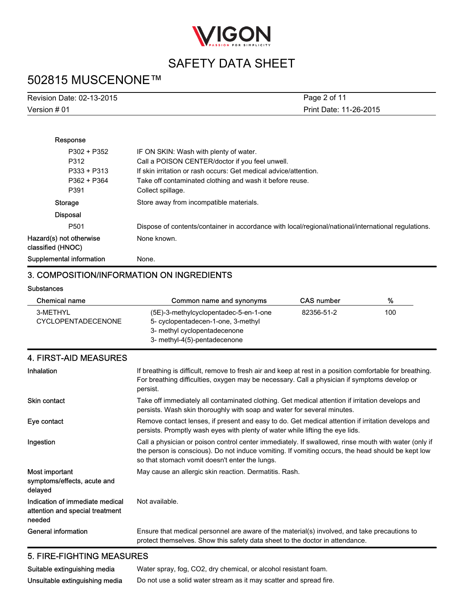

## 502815 MUSCENONE™

| Revision Date: 02-13-2015 | Page 2 of 11           |
|---------------------------|------------------------|
| Version # 01              | Print Date: 11-26-2015 |

| Response                                     |                                                                                                     |
|----------------------------------------------|-----------------------------------------------------------------------------------------------------|
| P302 + P352                                  | IF ON SKIN: Wash with plenty of water.                                                              |
| P312                                         | Call a POISON CENTER/doctor if you feel unwell.                                                     |
| P333 + P313                                  | If skin irritation or rash occurs: Get medical advice/attention.                                    |
| P362 + P364                                  | Take off contaminated clothing and wash it before reuse.                                            |
| P391                                         | Collect spillage.                                                                                   |
| Storage                                      | Store away from incompatible materials.                                                             |
| <b>Disposal</b>                              |                                                                                                     |
| P <sub>501</sub>                             | Dispose of contents/container in accordance with local/regional/national/international regulations. |
| Hazard(s) not otherwise<br>classified (HNOC) | None known.                                                                                         |
| Supplemental information                     | None.                                                                                               |

### 3. COMPOSITION/INFORMATION ON INGREDIENTS

#### **Substances**

| Chemical name             | Common name and synonyms              | <b>CAS number</b> | %   |
|---------------------------|---------------------------------------|-------------------|-----|
| 3-METHYL                  | (5E)-3-methylcyclopentadec-5-en-1-one | 82356-51-2        | 100 |
| <b>CYCLOPENTADECENONE</b> | 5- cyclopentadecen-1-one, 3-methyl    |                   |     |
|                           | 3- methyl cyclopentadecenone          |                   |     |
|                           | 3- methyl-4(5)-pentadecenone          |                   |     |

### 4. FIRST-AID MEASURES

| Inhalation                                                                   | If breathing is difficult, remove to fresh air and keep at rest in a position comfortable for breathing.<br>For breathing difficulties, oxygen may be necessary. Call a physician if symptoms develop or<br>persist.                                        |
|------------------------------------------------------------------------------|-------------------------------------------------------------------------------------------------------------------------------------------------------------------------------------------------------------------------------------------------------------|
| <b>Skin contact</b>                                                          | Take off immediately all contaminated clothing. Get medical attention if irritation develops and<br>persists. Wash skin thoroughly with soap and water for several minutes.                                                                                 |
| Eye contact                                                                  | Remove contact lenses, if present and easy to do. Get medical attention if irritation develops and<br>persists. Promptly wash eyes with plenty of water while lifting the eye lids.                                                                         |
| Ingestion                                                                    | Call a physician or poison control center immediately. If swallowed, rinse mouth with water (only if<br>the person is conscious). Do not induce vomiting. If vomiting occurs, the head should be kept low<br>so that stomach vomit doesn't enter the lungs. |
| Most important<br>symptoms/effects, acute and<br>delayed                     | May cause an allergic skin reaction. Dermatitis. Rash.                                                                                                                                                                                                      |
| Indication of immediate medical<br>attention and special treatment<br>needed | Not available.                                                                                                                                                                                                                                              |
| General information                                                          | Ensure that medical personnel are aware of the material(s) involved, and take precautions to<br>protect themselves. Show this safety data sheet to the doctor in attendance.                                                                                |

### 5. FIRE-FIGHTING MEASURES

| Suitable extinguishing media   | Water spray, fog, CO2, dry chemical, or alcohol resistant foam.    |
|--------------------------------|--------------------------------------------------------------------|
| Unsuitable extinguishing media | Do not use a solid water stream as it may scatter and spread fire. |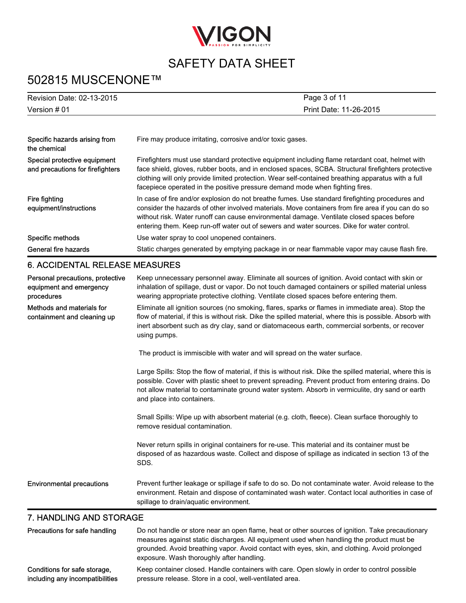

## 502815 MUSCENONE™

| Revision Date: 02-13-2015                                                 | Page 3 of 11                                                                                                                                                                                                                                                                                                                                                                                    |
|---------------------------------------------------------------------------|-------------------------------------------------------------------------------------------------------------------------------------------------------------------------------------------------------------------------------------------------------------------------------------------------------------------------------------------------------------------------------------------------|
| Version # 01                                                              | Print Date: 11-26-2015                                                                                                                                                                                                                                                                                                                                                                          |
|                                                                           |                                                                                                                                                                                                                                                                                                                                                                                                 |
| Specific hazards arising from<br>the chemical                             | Fire may produce irritating, corrosive and/or toxic gases.                                                                                                                                                                                                                                                                                                                                      |
| Special protective equipment<br>and precautions for firefighters          | Firefighters must use standard protective equipment including flame retardant coat, helmet with<br>face shield, gloves, rubber boots, and in enclosed spaces, SCBA. Structural firefighters protective<br>clothing will only provide limited protection. Wear self-contained breathing apparatus with a full<br>facepiece operated in the positive pressure demand mode when fighting fires.    |
| Fire fighting<br>equipment/instructions                                   | In case of fire and/or explosion do not breathe fumes. Use standard firefighting procedures and<br>consider the hazards of other involved materials. Move containers from fire area if you can do so<br>without risk. Water runoff can cause environmental damage. Ventilate closed spaces before<br>entering them. Keep run-off water out of sewers and water sources. Dike for water control. |
| Specific methods                                                          | Use water spray to cool unopened containers.                                                                                                                                                                                                                                                                                                                                                    |
| General fire hazards                                                      | Static charges generated by emptying package in or near flammable vapor may cause flash fire.                                                                                                                                                                                                                                                                                                   |
| <b>6. ACCIDENTAL RELEASE MEASURES</b>                                     |                                                                                                                                                                                                                                                                                                                                                                                                 |
| Personal precautions, protective<br>equipment and emergency<br>procedures | Keep unnecessary personnel away. Eliminate all sources of ignition. Avoid contact with skin or<br>inhalation of spillage, dust or vapor. Do not touch damaged containers or spilled material unless<br>wearing appropriate protective clothing. Ventilate closed spaces before entering them.                                                                                                   |
| Methods and materials for<br>containment and cleaning up                  | Eliminate all ignition sources (no smoking, flares, sparks or flames in immediate area). Stop the<br>flow of material, if this is without risk. Dike the spilled material, where this is possible. Absorb with<br>inert absorbent such as dry clay, sand or diatomaceous earth, commercial sorbents, or recover<br>using pumps.                                                                 |
|                                                                           | The product is immiscible with water and will spread on the water surface.                                                                                                                                                                                                                                                                                                                      |
|                                                                           | Large Spills: Stop the flow of material, if this is without risk. Dike the spilled material, where this is<br>possible. Cover with plastic sheet to prevent spreading. Prevent product from entering drains. Do<br>not allow material to contaminate ground water system. Absorb in vermiculite, dry sand or earth<br>and place into containers.                                                |
|                                                                           | Small Spills: Wipe up with absorbent material (e.g. cloth, fleece). Clean surface thoroughly to<br>remove residual contamination.                                                                                                                                                                                                                                                               |
|                                                                           | Never return spills in original containers for re-use. This material and its container must be<br>disposed of as hazardous waste. Collect and dispose of spillage as indicated in section 13 of the<br>SDS.                                                                                                                                                                                     |
| <b>Environmental precautions</b>                                          | Prevent further leakage or spillage if safe to do so. Do not contaminate water. Avoid release to the<br>environment. Retain and dispose of contaminated wash water. Contact local authorities in case of<br>spillage to drain/aquatic environment.                                                                                                                                              |
| 7. HANDLING AND STORAGE                                                   |                                                                                                                                                                                                                                                                                                                                                                                                 |
| Precautions for safe handling                                             | Do not handle or store near an open flame, heat or other sources of ignition. Take precautionary                                                                                                                                                                                                                                                                                                |

#### measures against static discharges. All equipment used when handling the product must be grounded. Avoid breathing vapor. Avoid contact with eyes, skin, and clothing. Avoid prolonged exposure. Wash thoroughly after handling. Conditions for safe storage, including any incompatibilities Keep container closed. Handle containers with care. Open slowly in order to control possible pressure release. Store in a cool, well-ventilated area.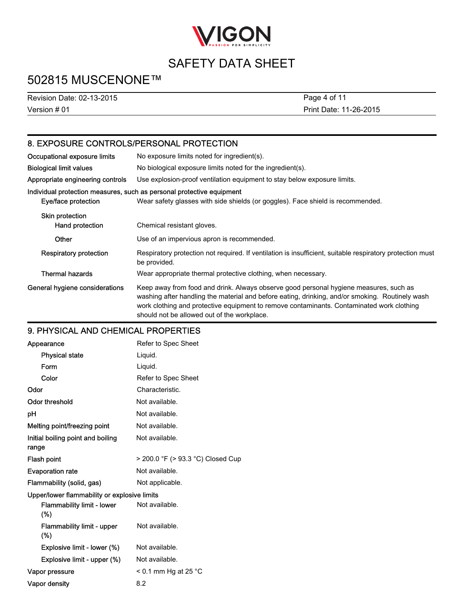

## 502815 MUSCENONE™

Version # 01 Revision Date: 02-13-2015 Print Date: 11-26-2015 Page 4 of 11

## 8. EXPOSURE CONTROLS/PERSONAL PROTECTION

| Occupational exposure limits              | No exposure limits noted for ingredient(s).                                                                                                                                                                                                                                                                                          |
|-------------------------------------------|--------------------------------------------------------------------------------------------------------------------------------------------------------------------------------------------------------------------------------------------------------------------------------------------------------------------------------------|
| <b>Biological limit values</b>            | No biological exposure limits noted for the ingredient(s).                                                                                                                                                                                                                                                                           |
| Appropriate engineering controls          | Use explosion-proof ventilation equipment to stay below exposure limits.                                                                                                                                                                                                                                                             |
| Eye/face protection                       | Individual protection measures, such as personal protective equipment<br>Wear safety glasses with side shields (or goggles). Face shield is recommended.                                                                                                                                                                             |
| <b>Skin protection</b><br>Hand protection | Chemical resistant gloves.                                                                                                                                                                                                                                                                                                           |
| Other                                     | Use of an impervious apron is recommended.                                                                                                                                                                                                                                                                                           |
| Respiratory protection                    | Respiratory protection not required. If ventilation is insufficient, suitable respiratory protection must<br>be provided.                                                                                                                                                                                                            |
| <b>Thermal hazards</b>                    | Wear appropriate thermal protective clothing, when necessary.                                                                                                                                                                                                                                                                        |
| General hygiene considerations            | Keep away from food and drink. Always observe good personal hygiene measures, such as<br>washing after handling the material and before eating, drinking, and/or smoking. Routinely wash<br>work clothing and protective equipment to remove contaminants. Contaminated work clothing<br>should not be allowed out of the workplace. |

### 9. PHYSICAL AND CHEMICAL PROPERTIES

| Appearance                                   | Refer to Spec Sheet               |  |
|----------------------------------------------|-----------------------------------|--|
| <b>Physical state</b>                        | Liquid.                           |  |
| Form                                         | Liquid.                           |  |
| Color                                        | Refer to Spec Sheet               |  |
| Odor                                         | Characteristic.                   |  |
| <b>Odor threshold</b>                        | Not available.                    |  |
| рH                                           | Not available.                    |  |
| Melting point/freezing point                 | Not available.                    |  |
| Initial boiling point and boiling<br>range   | Not available.                    |  |
| Flash point                                  | > 200.0 °F (> 93.3 °C) Closed Cup |  |
| <b>Evaporation rate</b>                      | Not available.                    |  |
| Flammability (solid, gas)                    | Not applicable.                   |  |
| Upper/lower flammability or explosive limits |                                   |  |
| <b>Flammability limit - lower</b><br>$(\%)$  | Not available.                    |  |
| <b>Flammability limit - upper</b><br>$(\%)$  | Not available.                    |  |
| Explosive limit - lower (%)                  | Not available.                    |  |
| Explosive limit - upper (%)                  | Not available.                    |  |
| Vapor pressure                               | $<$ 0.1 mm Hg at 25 °C            |  |
| Vapor density                                | 8.2                               |  |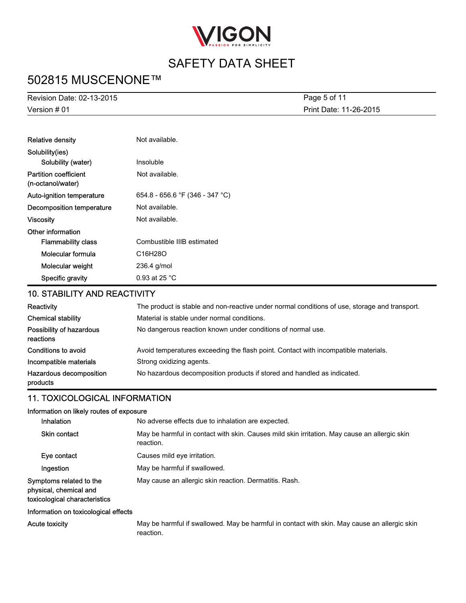

## 502815 MUSCENONE™

Version # 01 Revision Date: 02-13-2015 Print Date: 11-26-2015 Page 5 of 11

| <b>Relative density</b>                           | Not available.                    |  |
|---------------------------------------------------|-----------------------------------|--|
| Solubility(ies)                                   |                                   |  |
| Solubility (water)                                | Insoluble                         |  |
| <b>Partition coefficient</b><br>(n-octanol/water) | Not available.                    |  |
| Auto-ignition temperature                         | 654.8 - 656.6 °F (346 - 347 °C)   |  |
| Decomposition temperature                         | Not available.                    |  |
| Viscosity                                         | Not available.                    |  |
| Other information                                 |                                   |  |
| <b>Flammability class</b>                         | Combustible IIIB estimated        |  |
| Molecular formula                                 | C <sub>16</sub> H <sub>28</sub> O |  |
| Molecular weight                                  | 236.4 g/mol                       |  |
| Specific gravity                                  | 0.93 at 25 $^{\circ}$ C           |  |

### 10. STABILITY AND REACTIVITY

| Reactivity                            | The product is stable and non-reactive under normal conditions of use, storage and transport. |
|---------------------------------------|-----------------------------------------------------------------------------------------------|
| <b>Chemical stability</b>             | Material is stable under normal conditions.                                                   |
| Possibility of hazardous<br>reactions | No dangerous reaction known under conditions of normal use.                                   |
| Conditions to avoid                   | Avoid temperatures exceeding the flash point. Contact with incompatible materials.            |
| Incompatible materials                | Strong oxidizing agents.                                                                      |
| Hazardous decomposition<br>products   | No hazardous decomposition products if stored and handled as indicated.                       |

### 11. TOXICOLOGICAL INFORMATION

### Information on likely routes of exposure

| <b>Inhalation</b>                                                                  | No adverse effects due to inhalation are expected.                                                        |
|------------------------------------------------------------------------------------|-----------------------------------------------------------------------------------------------------------|
| <b>Skin contact</b>                                                                | May be harmful in contact with skin. Causes mild skin irritation. May cause an allergic skin<br>reaction. |
| Eye contact                                                                        | Causes mild eye irritation.                                                                               |
| Ingestion                                                                          | May be harmful if swallowed.                                                                              |
| Symptoms related to the<br>physical, chemical and<br>toxicological characteristics | May cause an allergic skin reaction. Dermatitis. Rash.                                                    |
| Information on toxicological effects                                               |                                                                                                           |

Acute toxicity May be harmful if swallowed. May be harmful in contact with skin. May cause an allergic skin reaction.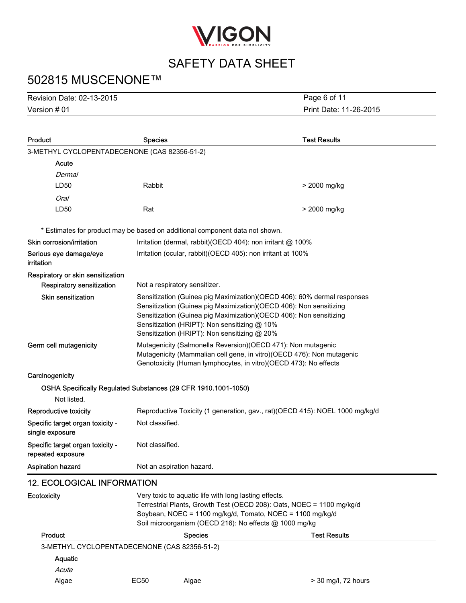

## 502815 MUSCENONE™

Version # 01 Revision Date: 02-13-2015 Print Date: 11-26-2015 Page 6 of 11

| Product                                                                       | <b>Species</b>                                                                                                                                                                                                                                        |                                                                                                                                                                                                                                                                                                                      | <b>Test Results</b>                                         |
|-------------------------------------------------------------------------------|-------------------------------------------------------------------------------------------------------------------------------------------------------------------------------------------------------------------------------------------------------|----------------------------------------------------------------------------------------------------------------------------------------------------------------------------------------------------------------------------------------------------------------------------------------------------------------------|-------------------------------------------------------------|
| 3-METHYL CYCLOPENTADECENONE (CAS 82356-51-2)                                  |                                                                                                                                                                                                                                                       |                                                                                                                                                                                                                                                                                                                      |                                                             |
| Acute                                                                         |                                                                                                                                                                                                                                                       |                                                                                                                                                                                                                                                                                                                      |                                                             |
| Dermal                                                                        |                                                                                                                                                                                                                                                       |                                                                                                                                                                                                                                                                                                                      |                                                             |
| LD50                                                                          | Rabbit                                                                                                                                                                                                                                                |                                                                                                                                                                                                                                                                                                                      | > 2000 mg/kg                                                |
| <b>Oral</b>                                                                   |                                                                                                                                                                                                                                                       |                                                                                                                                                                                                                                                                                                                      |                                                             |
| LD50                                                                          | Rat                                                                                                                                                                                                                                                   |                                                                                                                                                                                                                                                                                                                      | > 2000 mg/kg                                                |
| * Estimates for product may be based on additional component data not shown.  |                                                                                                                                                                                                                                                       |                                                                                                                                                                                                                                                                                                                      |                                                             |
| Skin corrosion/irritation                                                     |                                                                                                                                                                                                                                                       |                                                                                                                                                                                                                                                                                                                      | Irritation (dermal, rabbit)(OECD 404): non irritant @ 100%  |
| Serious eye damage/eye<br>irritation                                          |                                                                                                                                                                                                                                                       |                                                                                                                                                                                                                                                                                                                      | Irritation (ocular, rabbit)(OECD 405): non irritant at 100% |
| Respiratory or skin sensitization                                             |                                                                                                                                                                                                                                                       |                                                                                                                                                                                                                                                                                                                      |                                                             |
| <b>Respiratory sensitization</b>                                              |                                                                                                                                                                                                                                                       | Not a respiratory sensitizer.                                                                                                                                                                                                                                                                                        |                                                             |
| Skin sensitization                                                            |                                                                                                                                                                                                                                                       | Sensitization (Guinea pig Maximization) (OECD 406): 60% dermal responses<br>Sensitization (Guinea pig Maximization)(OECD 406): Non sensitizing<br>Sensitization (Guinea pig Maximization)(OECD 406): Non sensitizing<br>Sensitization (HRIPT): Non sensitizing @ 10%<br>Sensitization (HRIPT): Non sensitizing @ 20% |                                                             |
| Germ cell mutagenicity                                                        |                                                                                                                                                                                                                                                       | Mutagenicity (Salmonella Reversion)(OECD 471): Non mutagenic<br>Mutagenicity (Mammalian cell gene, in vitro)(OECD 476): Non mutagenic<br>Genotoxicity (Human lymphocytes, in vitro)(OECD 473): No effects                                                                                                            |                                                             |
| Carcinogenicity                                                               |                                                                                                                                                                                                                                                       |                                                                                                                                                                                                                                                                                                                      |                                                             |
| OSHA Specifically Regulated Substances (29 CFR 1910.1001-1050)<br>Not listed. |                                                                                                                                                                                                                                                       |                                                                                                                                                                                                                                                                                                                      |                                                             |
| Reproductive toxicity                                                         |                                                                                                                                                                                                                                                       | Reproductive Toxicity (1 generation, gav., rat)(OECD 415): NOEL 1000 mg/kg/d                                                                                                                                                                                                                                         |                                                             |
| Specific target organ toxicity -<br>single exposure                           |                                                                                                                                                                                                                                                       | Not classified.                                                                                                                                                                                                                                                                                                      |                                                             |
| Specific target organ toxicity -<br>repeated exposure                         | Not classified.                                                                                                                                                                                                                                       |                                                                                                                                                                                                                                                                                                                      |                                                             |
| <b>Aspiration hazard</b>                                                      |                                                                                                                                                                                                                                                       | Not an aspiration hazard.                                                                                                                                                                                                                                                                                            |                                                             |
| <b>12. ECOLOGICAL INFORMATION</b>                                             |                                                                                                                                                                                                                                                       |                                                                                                                                                                                                                                                                                                                      |                                                             |
| Ecotoxicity                                                                   | Very toxic to aquatic life with long lasting effects.<br>Terrestrial Plants, Growth Test (OECD 208): Oats, NOEC = 1100 mg/kg/d<br>Soybean, NOEC = 1100 mg/kg/d, Tomato, NOEC = 1100 mg/kg/d<br>Soil microorganism (OECD 216): No effects @ 1000 mg/kg |                                                                                                                                                                                                                                                                                                                      |                                                             |
| <b>Product</b>                                                                |                                                                                                                                                                                                                                                       | <b>Species</b>                                                                                                                                                                                                                                                                                                       | <b>Test Results</b>                                         |
| 3-METHYL CYCLOPENTADECENONE (CAS 82356-51-2)                                  |                                                                                                                                                                                                                                                       |                                                                                                                                                                                                                                                                                                                      |                                                             |
| Aquatic                                                                       |                                                                                                                                                                                                                                                       |                                                                                                                                                                                                                                                                                                                      |                                                             |
| Acute                                                                         |                                                                                                                                                                                                                                                       |                                                                                                                                                                                                                                                                                                                      |                                                             |
| Algae                                                                         | <b>EC50</b>                                                                                                                                                                                                                                           | Algae                                                                                                                                                                                                                                                                                                                | > 30 mg/l, 72 hours                                         |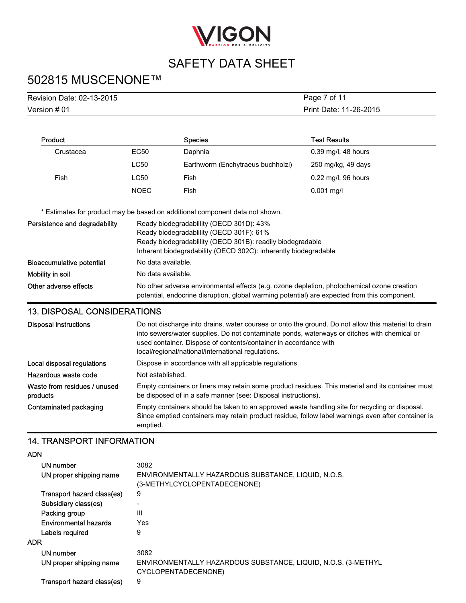

## 502815 MUSCENONE™

| Revision Date: 02-13-2015 | Page 7 of 11           |
|---------------------------|------------------------|
| Version # 01              | Print Date: 11-26-2015 |

| Product   |             | <b>Species</b>                    | <b>Test Results</b>   |
|-----------|-------------|-----------------------------------|-----------------------|
| Crustacea | EC50        | Daphnia                           | $0.39$ mg/l, 48 hours |
|           | <b>LC50</b> | Earthworm (Enchytraeus buchholzi) | 250 mg/kg, 49 days    |
| Fish      | <b>LC50</b> | Fish                              | $0.22$ mg/l, 96 hours |
|           | <b>NOEC</b> | Fish                              | $0.001$ mg/l          |

\* Estimates for product may be based on additional component data not shown.

| Persistence and degradability | Ready biodegradability (OECD 301D): 43%                                                                                                                                                    |  |  |
|-------------------------------|--------------------------------------------------------------------------------------------------------------------------------------------------------------------------------------------|--|--|
|                               | Ready biodegradability (OECD 301F): 61%                                                                                                                                                    |  |  |
|                               | Ready biodegradability (OECD 301B): readily biodegradable                                                                                                                                  |  |  |
|                               | Inherent biodegradability (OECD 302C): inherently biodegradable                                                                                                                            |  |  |
| Bioaccumulative potential     | No data available.                                                                                                                                                                         |  |  |
| Mobility in soil              | No data available.                                                                                                                                                                         |  |  |
| Other adverse effects         | No other adverse environmental effects (e.g. ozone depletion, photochemical ozone creation<br>potential, endocrine disruption, global warming potential) are expected from this component. |  |  |

### 13. DISPOSAL CONSIDERATIONS

| <b>Disposal instructions</b>                                                         | Do not discharge into drains, water courses or onto the ground. Do not allow this material to drain<br>into sewers/water supplies. Do not contaminate ponds, waterways or ditches with chemical or<br>used container. Dispose of contents/container in accordance with<br>local/regional/national/international regulations. |
|--------------------------------------------------------------------------------------|------------------------------------------------------------------------------------------------------------------------------------------------------------------------------------------------------------------------------------------------------------------------------------------------------------------------------|
| Local disposal regulations<br>Dispose in accordance with all applicable regulations. |                                                                                                                                                                                                                                                                                                                              |
| Hazardous waste code                                                                 | Not established.                                                                                                                                                                                                                                                                                                             |
| Waste from residues / unused<br>products                                             | Empty containers or liners may retain some product residues. This material and its container must<br>be disposed of in a safe manner (see: Disposal instructions).                                                                                                                                                           |
| Contaminated packaging                                                               | Empty containers should be taken to an approved waste handling site for recycling or disposal.<br>Since emptied containers may retain product residue, follow label warnings even after container is<br>emptied.                                                                                                             |

### 14. TRANSPORT INFORMATION

ADN

| 3082                                                                                 |
|--------------------------------------------------------------------------------------|
| ENVIRONMENTALLY HAZARDOUS SUBSTANCE, LIQUID, N.O.S.<br>(3-METHYLCYCLOPENTADECENONE)  |
| 9                                                                                    |
| ٠                                                                                    |
| Ш                                                                                    |
| Yes                                                                                  |
| 9                                                                                    |
|                                                                                      |
| 3082                                                                                 |
| ENVIRONMENTALLY HAZARDOUS SUBSTANCE, LIQUID, N.O.S. (3-METHYL<br>CYCLOPENTADECENONE) |
| 9                                                                                    |
|                                                                                      |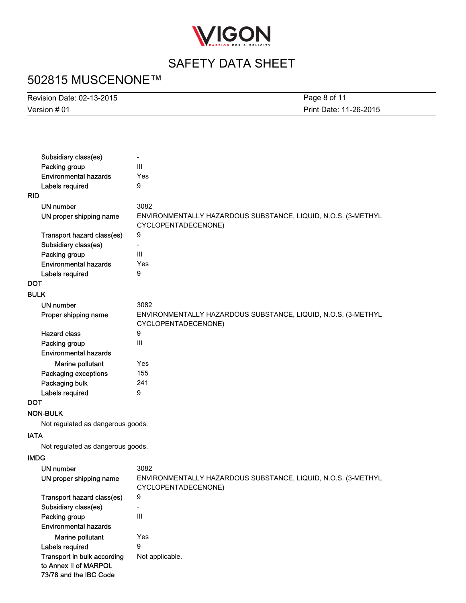

# 502815 MUSCENONE™

| Revision Date: 02-13-2015 | Page 8 of 11           |
|---------------------------|------------------------|
| Version # 01              | Print Date: 11-26-2015 |
|                           |                        |

|             | Subsidiary class(es)              | $\overline{\phantom{0}}$                                      |
|-------------|-----------------------------------|---------------------------------------------------------------|
|             | Packing group                     | Ш                                                             |
|             | <b>Environmental hazards</b>      | Yes                                                           |
|             | Labels required                   | 9                                                             |
| RID         |                                   |                                                               |
|             | <b>UN number</b>                  | 3082                                                          |
|             | UN proper shipping name           | ENVIRONMENTALLY HAZARDOUS SUBSTANCE, LIQUID, N.O.S. (3-METHYL |
|             |                                   | CYCLOPENTADECENONE)                                           |
|             | Transport hazard class(es)        | 9                                                             |
|             | Subsidiary class(es)              |                                                               |
|             | Packing group                     | Ш                                                             |
|             | <b>Environmental hazards</b>      | Yes                                                           |
|             | Labels required                   | 9                                                             |
| DOT         |                                   |                                                               |
| <b>BULK</b> |                                   |                                                               |
|             | <b>UN number</b>                  | 3082                                                          |
|             | Proper shipping name              | ENVIRONMENTALLY HAZARDOUS SUBSTANCE, LIQUID, N.O.S. (3-METHYL |
|             |                                   | CYCLOPENTADECENONE)                                           |
|             | <b>Hazard class</b>               | 9                                                             |
|             | Packing group                     | III                                                           |
|             | <b>Environmental hazards</b>      |                                                               |
|             | Marine pollutant                  | Yes                                                           |
|             | Packaging exceptions              | 155                                                           |
|             | Packaging bulk                    | 241                                                           |
|             | Labels required                   | 9                                                             |
| DOT         |                                   |                                                               |
|             | <b>NON-BULK</b>                   |                                                               |
|             | Not regulated as dangerous goods. |                                                               |
|             |                                   |                                                               |
| <b>IATA</b> |                                   |                                                               |
|             | Not regulated as dangerous goods. |                                                               |
| <b>IMDG</b> |                                   |                                                               |
|             | <b>UN number</b>                  | 3082                                                          |
|             | UN proper shipping name           | ENVIRONMENTALLY HAZARDOUS SUBSTANCE, LIQUID, N.O.S. (3-METHYL |
|             |                                   | CYCLOPENTADECENONE)                                           |
|             | Transport hazard class(es)        | 9                                                             |
|             | Subsidiary class(es)              |                                                               |
|             | Packing group                     | III                                                           |
|             | <b>Environmental hazards</b>      |                                                               |
|             | Marine pollutant                  | Yes                                                           |
|             | Labels required                   | 9                                                             |
|             | Transport in bulk according       | Not applicable.                                               |
|             | to Annex II of MARPOL             |                                                               |
|             | 73/78 and the IBC Code            |                                                               |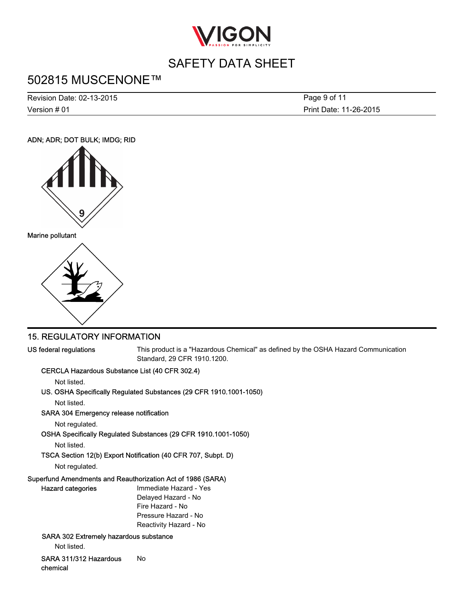

## 502815 MUSCENONE™

Version # 01 Revision Date: 02-13-2015 Print Date: 11-26-2015 Page 9 of 11

### ADN; ADR; DOT BULK; IMDG; RID





### 15. REGULATORY INFORMATION

US federal regulations This product is a "Hazardous Chemical" as defined by the OSHA Hazard Communication Standard, 29 CFR 1910.1200.

### CERCLA Hazardous Substance List (40 CFR 302.4)

Not listed.

### US. OSHA Specifically Regulated Substances (29 CFR 1910.1001-1050)

Not listed.

### SARA 304 Emergency release notification

Not regulated.

OSHA Specifically Regulated Substances (29 CFR 1910.1001-1050)

Not listed.

### TSCA Section 12(b) Export Notification (40 CFR 707, Subpt. D)

Not regulated.

### Superfund Amendments and Reauthorization Act of 1986 (SARA)

| Hazard categories                      | Immediate Hazard - Yes |
|----------------------------------------|------------------------|
|                                        | Delayed Hazard - No    |
|                                        | Fire Hazard - No       |
|                                        | Pressure Hazard - No   |
|                                        | Reactivity Hazard - No |
| SARA 302 Extremely hazardous substance |                        |

Not listed.

SARA 311/312 Hazardous chemical No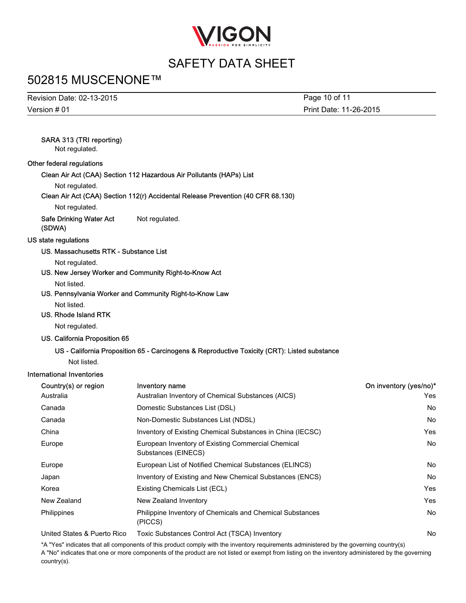

## 502815 MUSCENONE™

| Revision Date: 02-13-2015 | Page 10 of 11          |
|---------------------------|------------------------|
| Version $#01$             | Print Date: 11-26-2015 |

### SARA 313 (TRI reporting)

Not regulated.

#### Other federal regulations

Clean Air Act (CAA) Section 112 Hazardous Air Pollutants (HAPs) List

Not regulated.

#### Clean Air Act (CAA) Section 112(r) Accidental Release Prevention (40 CFR 68.130)

Not regulated.

Safe Drinking Water Act (SDWA) Not regulated.

#### US state regulations

#### US. Massachusetts RTK - Substance List

Not regulated.

US. New Jersey Worker and Community Right-to-Know Act

Not listed.

US. Pennsylvania Worker and Community Right-to-Know Law

Not listed.

### US. Rhode Island RTK

Not regulated.

#### US. California Proposition 65

### US - California Proposition 65 - Carcinogens & Reproductive Toxicity (CRT): Listed substance

Not listed.

#### International Inventories

| Country(s) or region        | <b>Inventory name</b>                                                       | On inventory (yes/no)* |
|-----------------------------|-----------------------------------------------------------------------------|------------------------|
| Australia                   | Australian Inventory of Chemical Substances (AICS)                          | Yes                    |
| Canada                      | Domestic Substances List (DSL)                                              | <b>No</b>              |
| Canada                      | Non-Domestic Substances List (NDSL)                                         | <b>No</b>              |
| China                       | Inventory of Existing Chemical Substances in China (IECSC)                  | Yes                    |
| Europe                      | European Inventory of Existing Commercial Chemical<br>Substances (EINECS)   | <b>No</b>              |
| Europe                      | European List of Notified Chemical Substances (ELINCS)                      | <b>No</b>              |
| Japan                       | Inventory of Existing and New Chemical Substances (ENCS)                    | No.                    |
| Korea                       | Existing Chemicals List (ECL)                                               | Yes                    |
| New Zealand                 | New Zealand Inventory                                                       | Yes                    |
| Philippines                 | <b>Philippine Inventory of Chemicals and Chemical Substances</b><br>(PICCS) | <b>No</b>              |
| United States & Puerto Rico | Toxic Substances Control Act (TSCA) Inventory                               | No                     |

\*A "Yes" indicates that all components of this product comply with the inventory requirements administered by the governing country(s) A "No" indicates that one or more components of the product are not listed or exempt from listing on the inventory administered by the governing country(s).